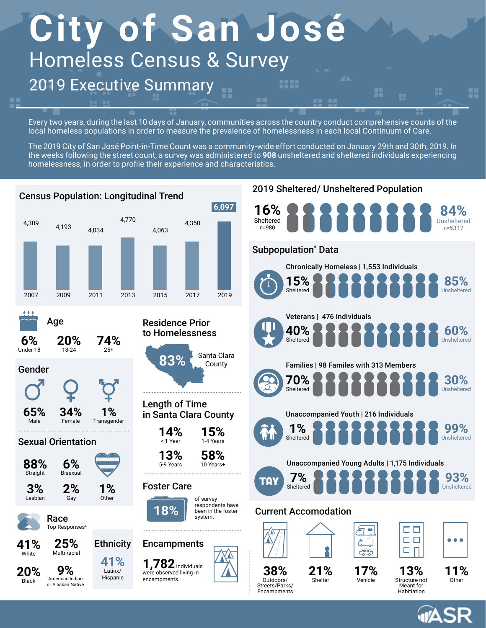# **City of San José** Homeless Census & Survey 2019 Executive Summary ::::

Every two years, during the last 10 days of January, communities across the country conduct comprehensive counts of the local homeless populations in order to measure the prevalence of homelessness in each local Continuum of Care.

H

The 2019 City of San José Point-in-Time Count was a community-wide effort conducted on January 29th and 30th, 2019. In the weeks following the street count, a survey was administered to **908** unsheltered and sheltered individuals experiencing homelessness, in order to profile their experience and characteristics.



**Au**